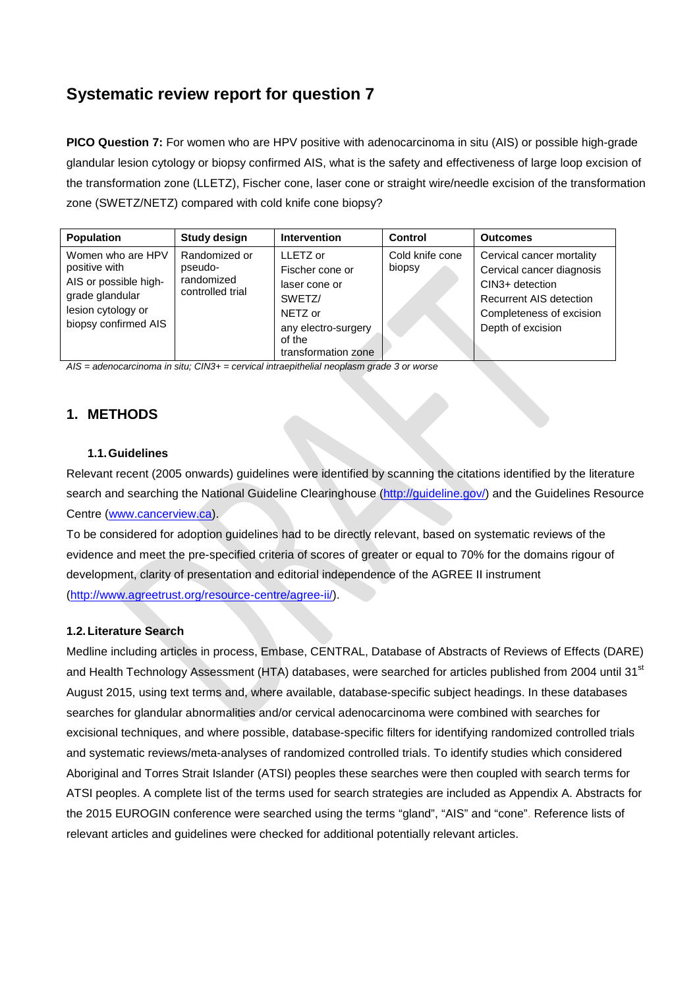# **Systematic review report for question 7**

**PICO Question 7:** For women who are HPV positive with adenocarcinoma in situ (AIS) or possible high-grade glandular lesion cytology or biopsy confirmed AIS, what is the safety and effectiveness of large loop excision of the transformation zone (LLETZ), Fischer cone, laser cone or straight wire/needle excision of the transformation zone (SWETZ/NETZ) compared with cold knife cone biopsy?

| <b>Population</b>                                                                                                            | <b>Study design</b>                                        | <b>Intervention</b>                                                                                                       | Control                   | <b>Outcomes</b>                                                                                                                                       |
|------------------------------------------------------------------------------------------------------------------------------|------------------------------------------------------------|---------------------------------------------------------------------------------------------------------------------------|---------------------------|-------------------------------------------------------------------------------------------------------------------------------------------------------|
| Women who are HPV<br>positive with<br>AIS or possible high-<br>grade glandular<br>lesion cytology or<br>biopsy confirmed AIS | Randomized or<br>pseudo-<br>randomized<br>controlled trial | LLETZ or<br>Fischer cone or<br>laser cone or<br>SWETZ/<br>NETZ or<br>any electro-surgery<br>of the<br>transformation zone | Cold knife cone<br>biopsy | Cervical cancer mortality<br>Cervical cancer diagnosis<br>CIN3+ detection<br>Recurrent AIS detection<br>Completeness of excision<br>Depth of excision |

*AIS = adenocarcinoma in situ; CIN3+ = cervical intraepithelial neoplasm grade 3 or worse*

## **1. METHODS**

#### **1.1.Guidelines**

Relevant recent (2005 onwards) guidelines were identified by scanning the citations identified by the literature search and searching the National Guideline Clearinghouse [\(http://guideline.gov/\)](http://guideline.gov/) and the Guidelines Resource Centre [\(www.cancerview.ca\)](http://www.cancerview.ca/).

To be considered for adoption guidelines had to be directly relevant, based on systematic reviews of the evidence and meet the pre-specified criteria of scores of greater or equal to 70% for the domains rigour of development, clarity of presentation and editorial independence of the AGREE II instrument [\(http://www.agreetrust.org/resource-centre/agree-ii/\)](http://www.agreetrust.org/resource-centre/agree-ii/).

#### **1.2.Literature Search**

Medline including articles in process, Embase, CENTRAL, Database of Abstracts of Reviews of Effects (DARE) and Health Technology Assessment (HTA) databases, were searched for articles published from 2004 until 31<sup>st</sup> August 2015, using text terms and, where available, database-specific subject headings. In these databases searches for glandular abnormalities and/or cervical adenocarcinoma were combined with searches for excisional techniques, and where possible, database-specific filters for identifying randomized controlled trials and systematic reviews/meta-analyses of randomized controlled trials. To identify studies which considered Aboriginal and Torres Strait Islander (ATSI) peoples these searches were then coupled with search terms for ATSI peoples. A complete list of the terms used for search strategies are included as Appendix A. Abstracts for the 2015 EUROGIN conference were searched using the terms "gland", "AIS" and "cone". Reference lists of relevant articles and guidelines were checked for additional potentially relevant articles.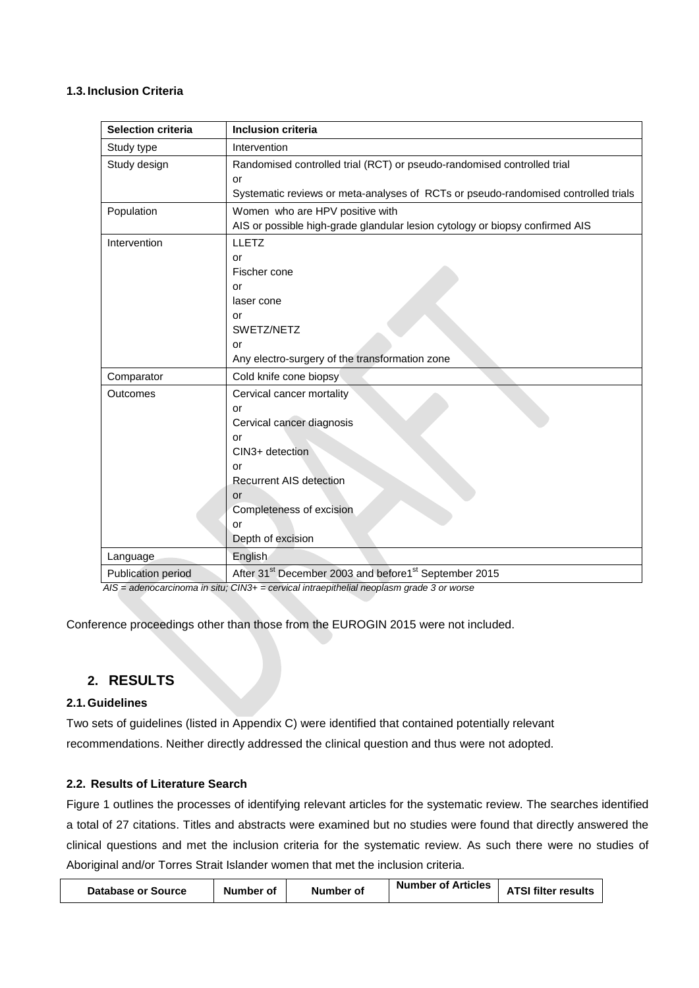### **1.3. Inclusion Criteria**

| <b>Selection criteria</b> | <b>Inclusion criteria</b>                                                          |
|---------------------------|------------------------------------------------------------------------------------|
| Study type                | Intervention                                                                       |
| Study design              | Randomised controlled trial (RCT) or pseudo-randomised controlled trial            |
|                           | or                                                                                 |
|                           | Systematic reviews or meta-analyses of RCTs or pseudo-randomised controlled trials |
| Population                | Women who are HPV positive with                                                    |
|                           | AIS or possible high-grade glandular lesion cytology or biopsy confirmed AIS       |
| Intervention              | <b>LLETZ</b>                                                                       |
|                           | or                                                                                 |
|                           | Fischer cone                                                                       |
|                           | or                                                                                 |
|                           | laser cone                                                                         |
|                           | or                                                                                 |
|                           | SWETZ/NETZ                                                                         |
|                           | or                                                                                 |
|                           | Any electro-surgery of the transformation zone                                     |
| Comparator                | Cold knife cone biopsy                                                             |
| Outcomes                  | Cervical cancer mortality                                                          |
|                           | or                                                                                 |
|                           | Cervical cancer diagnosis                                                          |
|                           | or                                                                                 |
|                           | CIN3+ detection                                                                    |
|                           | or                                                                                 |
|                           | <b>Recurrent AIS detection</b>                                                     |
|                           | or                                                                                 |
|                           | Completeness of excision                                                           |
|                           | or<br>Depth of excision                                                            |
|                           |                                                                                    |
| Language                  | English                                                                            |
| Publication period        | After 31 <sup>st</sup> December 2003 and before1 <sup>st</sup> September 2015      |

 *AIS = adenocarcinoma in situ; CIN3+ = cervical intraepithelial neoplasm grade 3 or worse*

Conference proceedings other than those from the EUROGIN 2015 were not included.

## **2. RESULTS**

### **2.1.Guidelines**

Two sets of guidelines (listed in Appendix C) were identified that contained potentially relevant recommendations. Neither directly addressed the clinical question and thus were not adopted.

#### **2.2. Results of Literature Search**

Figure 1 outlines the processes of identifying relevant articles for the systematic review. The searches identified a total of 27 citations. Titles and abstracts were examined but no studies were found that directly answered the clinical questions and met the inclusion criteria for the systematic review. As such there were no studies of Aboriginal and/or Torres Strait Islander women that met the inclusion criteria.

| Database or Source | Number of | Number of | <b>Number of Articles</b> | <b>ATSI filter results</b> |
|--------------------|-----------|-----------|---------------------------|----------------------------|
|--------------------|-----------|-----------|---------------------------|----------------------------|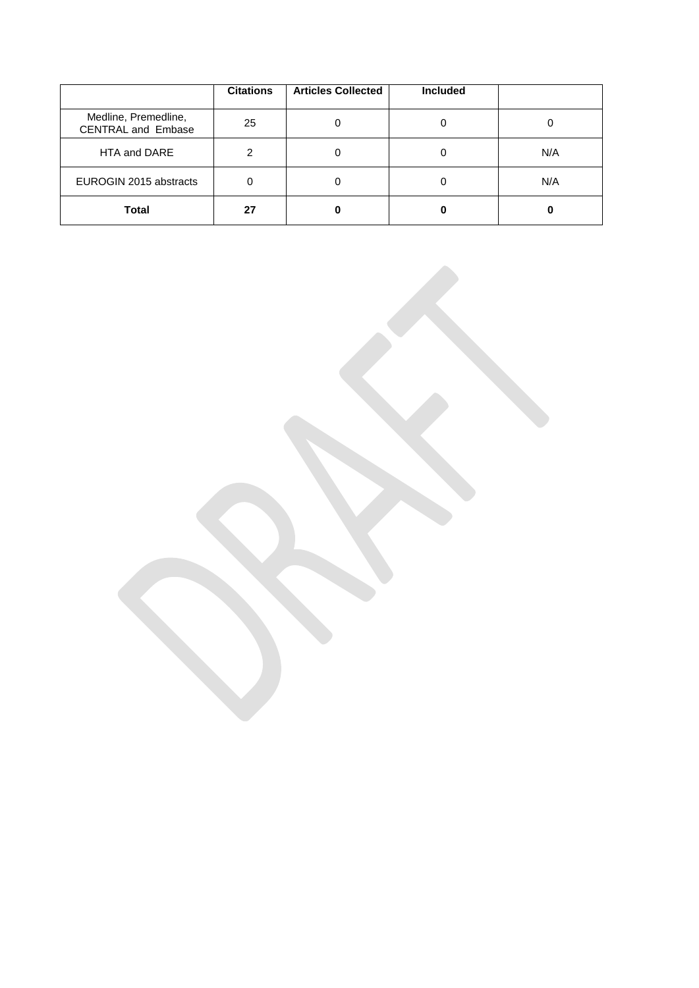|                                                   | <b>Citations</b> | <b>Articles Collected</b> | <b>Included</b> |     |
|---------------------------------------------------|------------------|---------------------------|-----------------|-----|
| Medline, Premedline,<br><b>CENTRAL and Embase</b> | 25               |                           |                 |     |
| HTA and DARE                                      | 2                |                           |                 | N/A |
| EUROGIN 2015 abstracts                            | 0                |                           |                 | N/A |
| <b>Total</b>                                      | 27               |                           |                 |     |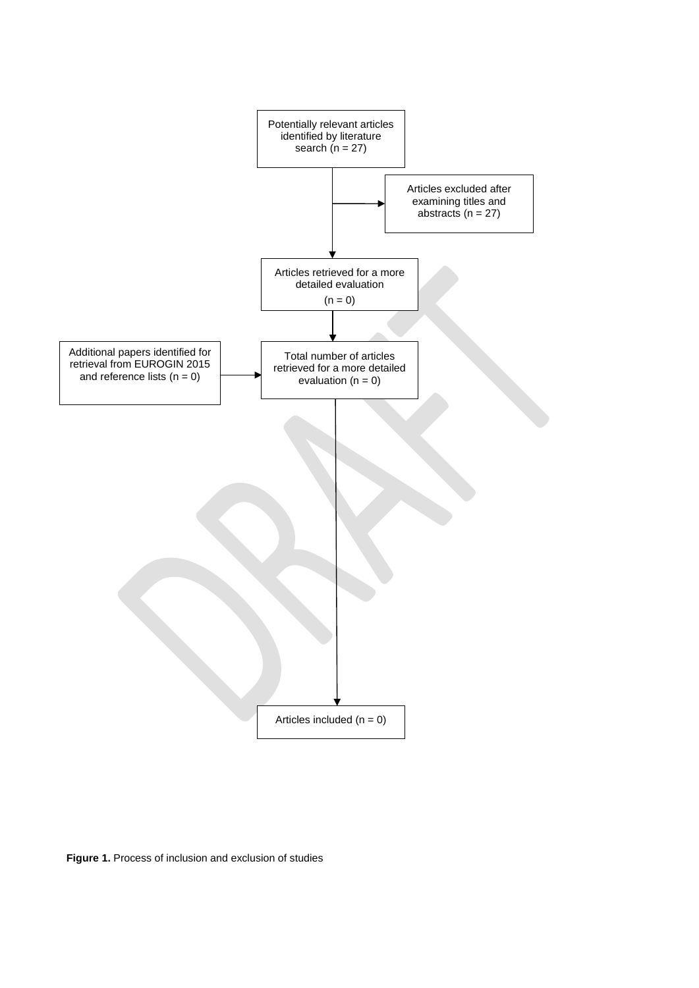

**Figure 1.** Process of inclusion and exclusion of studies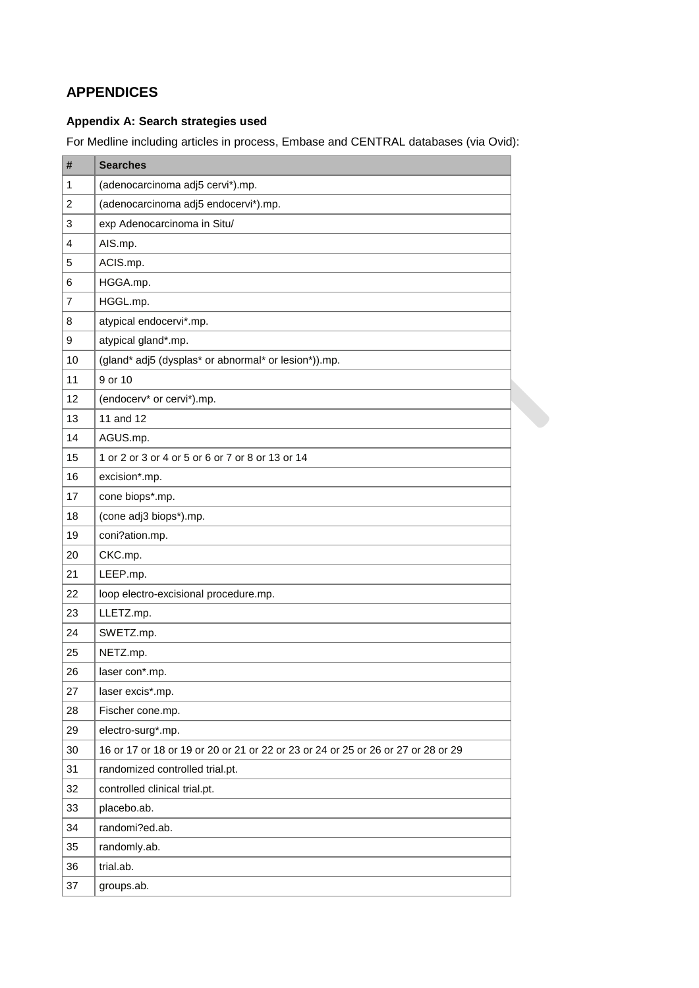## **APPENDICES**

## **Appendix A: Search strategies used**

For Medline including articles in process, Embase and CENTRAL databases (via Ovid):

| #              | <b>Searches</b>                                                                  |  |
|----------------|----------------------------------------------------------------------------------|--|
| 1              | (adenocarcinoma adj5 cervi*).mp.                                                 |  |
| 2              | (adenocarcinoma adj5 endocervi*).mp.                                             |  |
| 3              | exp Adenocarcinoma in Situ/                                                      |  |
| $\overline{4}$ | AIS.mp.                                                                          |  |
| 5              | ACIS.mp.                                                                         |  |
| 6              | HGGA.mp.                                                                         |  |
| 7              | HGGL.mp.                                                                         |  |
| 8              | atypical endocervi*.mp.                                                          |  |
| 9              | atypical gland*.mp.                                                              |  |
| 10             | (gland* adj5 (dysplas* or abnormal* or lesion*)).mp.                             |  |
| 11             | 9 or 10                                                                          |  |
| 12             | (endocerv* or cervi*).mp.                                                        |  |
| 13             | 11 and 12                                                                        |  |
| 14             | AGUS.mp.                                                                         |  |
| 15             | 1 or 2 or 3 or 4 or 5 or 6 or 7 or 8 or 13 or 14                                 |  |
| 16             | excision*.mp.                                                                    |  |
| 17             | cone biops*.mp.                                                                  |  |
| 18             | (cone adj3 biops*).mp.                                                           |  |
| 19             | coni?ation.mp.                                                                   |  |
| 20             | CKC.mp.                                                                          |  |
| 21             | LEEP.mp.                                                                         |  |
| 22             | loop electro-excisional procedure.mp.                                            |  |
| 23             | LLETZ.mp.                                                                        |  |
| 24             | SWETZ.mp.                                                                        |  |
| 25             | NETZ.mp.                                                                         |  |
| 26             | laser con*.mp.                                                                   |  |
| 27             | laser excis*.mp.                                                                 |  |
| 28             | Fischer cone.mp.                                                                 |  |
| 29             | electro-surg*.mp.                                                                |  |
| 30             | 16 or 17 or 18 or 19 or 20 or 21 or 22 or 23 or 24 or 25 or 26 or 27 or 28 or 29 |  |
| 31             | randomized controlled trial.pt.                                                  |  |
| 32             | controlled clinical trial.pt.                                                    |  |
| 33             | placebo.ab.                                                                      |  |
| 34             | randomi?ed.ab.                                                                   |  |
| 35             | randomly.ab.                                                                     |  |
| 36             | trial.ab.                                                                        |  |
| 37             | groups.ab.                                                                       |  |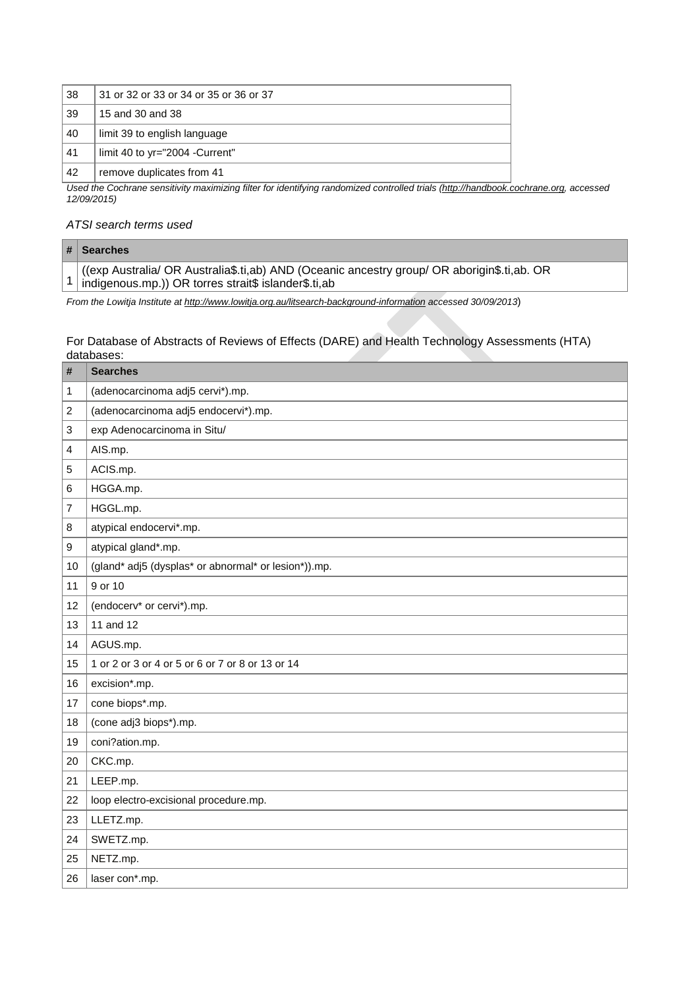| 38 | 31 or 32 or 33 or 34 or 35 or 36 or 37 |
|----|----------------------------------------|
| 39 | 15 and 30 and 38                       |
| 40 | limit 39 to english language           |
| 41 | limit 40 to yr="2004 - Current"        |
| 42 | remove duplicates from 41              |

*Used the Cochrane sensitivity maximizing filter for identifying randomized controlled trials [\(http://handbook.cochrane.org,](http://handbook.cochrane.org/) accessed 12/09/2015)* 

### *ATSI search terms used*

| $#$ Searches                                                                                                                                         |
|------------------------------------------------------------------------------------------------------------------------------------------------------|
| (exp Australia/ OR Australia\$.ti,ab) AND (Oceanic ancestry group/ OR aborigin\$.ti,ab. OR<br>1 indigenous.mp.)) OR torres strait\$ islander\$.ti,ab |

*From the Lowitja Institute at<http://www.lowitja.org.au/litsearch-background-information> accessed 30/09/2013*)

### For Database of Abstracts of Reviews of Effects (DARE) and Health Technology Assessments (HTA) databases:

| #  | <b>Searches</b>                                      |
|----|------------------------------------------------------|
| 1  | (adenocarcinoma adj5 cervi*).mp.                     |
| 2  | (adenocarcinoma adj5 endocervi*).mp.                 |
| 3  | exp Adenocarcinoma in Situ/                          |
| 4  | AIS.mp.                                              |
| 5  | ACIS.mp.                                             |
| 6  | HGGA.mp.                                             |
| 7  | HGGL.mp.                                             |
| 8  | atypical endocervi*.mp.                              |
| 9  | atypical gland*.mp.                                  |
| 10 | (gland* adj5 (dysplas* or abnormal* or lesion*)).mp. |
| 11 | 9 or 10                                              |
| 12 | (endocerv* or cervi*).mp.                            |
| 13 | 11 and 12                                            |
| 14 | AGUS.mp.                                             |
| 15 | 1 or 2 or 3 or 4 or 5 or 6 or 7 or 8 or 13 or 14     |
| 16 | excision*.mp.                                        |
| 17 | cone biops*.mp.                                      |
| 18 | (cone adj3 biops*).mp.                               |
| 19 | coni?ation.mp.                                       |
| 20 | CKC.mp.                                              |
| 21 | LEEP.mp.                                             |
| 22 | loop electro-excisional procedure.mp.                |
| 23 | LLETZ.mp.                                            |
| 24 | SWETZ.mp.                                            |
| 25 | NETZ.mp.                                             |
| 26 | laser con*.mp.                                       |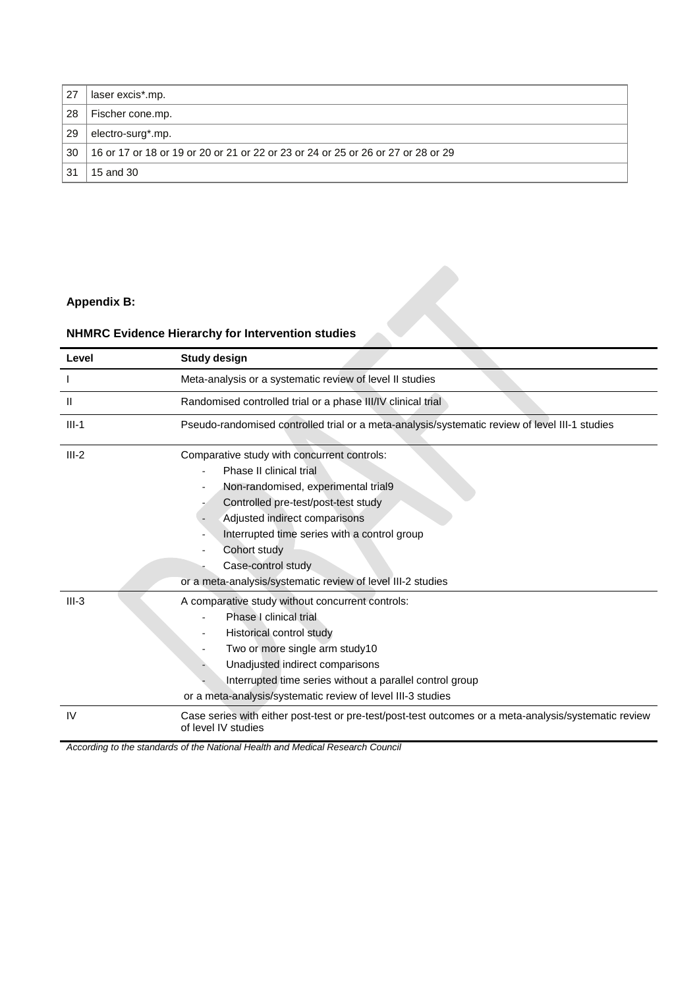| 27 | laser excis*.mp.                                                                 |
|----|----------------------------------------------------------------------------------|
| 28 | Fischer cone.mp.                                                                 |
| 29 | electro-surg*.mp.                                                                |
| 30 | 16 or 17 or 18 or 19 or 20 or 21 or 22 or 23 or 24 or 25 or 26 or 27 or 28 or 29 |
| 31 | 15 and 30                                                                        |

## **Appendix B:**

# **NHMRC Evidence Hierarchy for Intervention studies**

| <b>Appendix B:</b> |                                                                                                                                                                                                                                                                                                                                            |  |  |  |  |
|--------------------|--------------------------------------------------------------------------------------------------------------------------------------------------------------------------------------------------------------------------------------------------------------------------------------------------------------------------------------------|--|--|--|--|
|                    | <b>NHMRC Evidence Hierarchy for Intervention studies</b>                                                                                                                                                                                                                                                                                   |  |  |  |  |
| Level              | <b>Study design</b>                                                                                                                                                                                                                                                                                                                        |  |  |  |  |
|                    | Meta-analysis or a systematic review of level II studies                                                                                                                                                                                                                                                                                   |  |  |  |  |
| Ш                  | Randomised controlled trial or a phase III/IV clinical trial                                                                                                                                                                                                                                                                               |  |  |  |  |
| $III-1$            | Pseudo-randomised controlled trial or a meta-analysis/systematic review of level III-1 studies                                                                                                                                                                                                                                             |  |  |  |  |
| $III-2$            | Comparative study with concurrent controls:<br>Phase II clinical trial<br>Non-randomised, experimental trial9<br>Controlled pre-test/post-test study<br>Adjusted indirect comparisons<br>Interrupted time series with a control group<br>Cohort study<br>Case-control study<br>or a meta-analysis/systematic review of level III-2 studies |  |  |  |  |
| $III-3$            | A comparative study without concurrent controls:<br>Phase I clinical trial<br>Historical control study<br>Two or more single arm study10<br>Unadjusted indirect comparisons<br>Interrupted time series without a parallel control group<br>or a meta-analysis/systematic review of level III-3 studies                                     |  |  |  |  |
| IV                 | Case series with either post-test or pre-test/post-test outcomes or a meta-analysis/systematic review<br>of level IV studies                                                                                                                                                                                                               |  |  |  |  |

*According to the standards of the National Health and Medical Research Council*